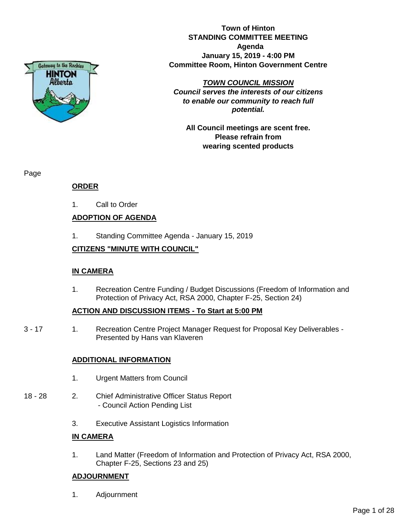

**Town of Hinton STANDING COMMITTEE MEETING Agenda January 15, 2019 - 4:00 PM Committee Room, Hinton Government Centre**

### *TOWN COUNCIL MISSION*

*Council serves the interests of our citizens to enable our community to reach full potential.*

**All Council meetings are scent free. Please refrain from wearing scented products**

Page

# **ORDER**

1. Call to Order

# **ADOPTION OF AGENDA**

1. Standing Committee Agenda - January 15, 2019

# **CITIZENS "MINUTE WITH COUNCIL"**

## **IN CAMERA**

1. Recreation Centre Funding / Budget Discussions (Freedom of Information and Protection of Privacy Act, RSA 2000, Chapter F-25, Section 24)

## **ACTION AND DISCUSSION ITEMS - To Start at 5:00 PM**

3 - 17 1. Recreation Centre Project Manager Request for Proposal Key Deliverables - Presented by Hans van Klaveren

## **ADDITIONAL INFORMATION**

- 1. Urgent Matters from Council
- 18 28 2. Chief Administrative Officer Status Report - Council Action Pending List
	- 3. Executive Assistant Logistics Information

# **IN CAMERA**

1. Land Matter (Freedom of Information and Protection of Privacy Act, RSA 2000, Chapter F-25, Sections 23 and 25)

# **ADJOURNMENT**

1. Adjournment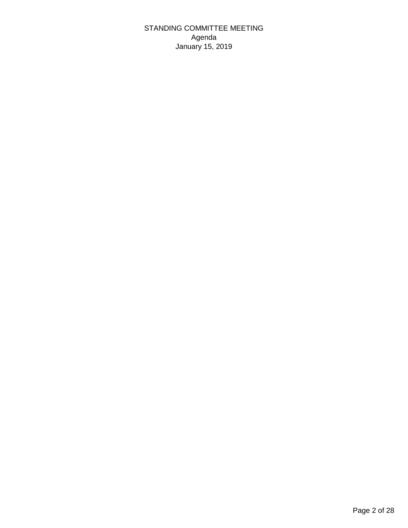STANDING COMMITTEE MEETING Agenda January 15, 2019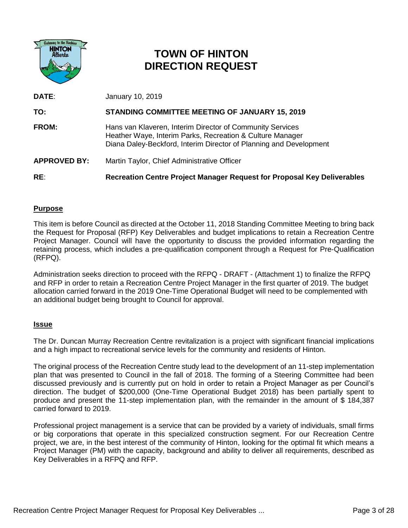

# **TOWN OF HINTON DIRECTION REQUEST**

**DATE**: January 10, 2019 **TO: STANDING COMMITTEE MEETING OF JANUARY 15, 2019 FROM:** Hans van Klaveren, Interim Director of Community Services Heather Waye, Interim Parks, Recreation & Culture Manager Diana Daley-Beckford, Interim Director of Planning and Development **APPROVED BY:** Martin Taylor, Chief Administrative Officer **RE**: **Recreation Centre Project Manager Request for Proposal Key Deliverables**

# **Purpose**

This item is before Council as directed at the October 11, 2018 Standing Committee Meeting to bring back the Request for Proposal (RFP) Key Deliverables and budget implications to retain a Recreation Centre Project Manager. Council will have the opportunity to discuss the provided information regarding the retaining process, which includes a pre-qualification component through a Request for Pre-Qualification (RFPQ).

Administration seeks direction to proceed with the RFPQ - DRAFT - (Attachment 1) to finalize the RFPQ and RFP in order to retain a Recreation Centre Project Manager in the first quarter of 2019. The budget allocation carried forward in the 2019 One-Time Operational Budget will need to be complemented with an additional budget being brought to Council for approval.

## **Issue**

The Dr. Duncan Murray Recreation Centre revitalization is a project with significant financial implications and a high impact to recreational service levels for the community and residents of Hinton.

The original process of the Recreation Centre study lead to the development of an 11-step implementation plan that was presented to Council in the fall of 2018. The forming of a Steering Committee had been discussed previously and is currently put on hold in order to retain a Project Manager as per Council's direction. The budget of \$200,000 (One-Time Operational Budget 2018) has been partially spent to produce and present the 11-step implementation plan, with the remainder in the amount of \$ 184,387 carried forward to 2019.

Professional project management is a service that can be provided by a variety of individuals, small firms or big corporations that operate in this specialized construction segment. For our Recreation Centre project, we are, in the best interest of the community of Hinton, looking for the optimal fit which means a Project Manager (PM) with the capacity, background and ability to deliver all requirements, described as Key Deliverables in a RFPQ and RFP.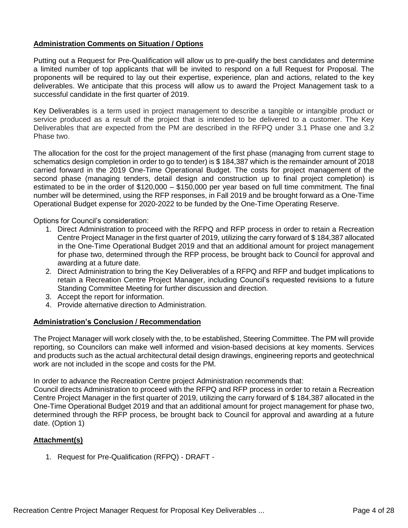# **Administration Comments on Situation / Options**

Putting out a Request for Pre-Qualification will allow us to pre-qualify the best candidates and determine a limited number of top applicants that will be invited to respond on a full Request for Proposal. The proponents will be required to lay out their expertise, experience, plan and actions, related to the key deliverables. We anticipate that this process will allow us to award the Project Management task to a successful candidate in the first quarter of 2019.

Key Deliverables is a term used in project management to describe a tangible or intangible product or service produced as a result of the project that is intended to be delivered to a customer. The Key Deliverables that are expected from the PM are described in the RFPQ under 3.1 Phase one and 3.2 Phase two.

The allocation for the cost for the project management of the first phase (managing from current stage to schematics design completion in order to go to tender) is \$ 184,387 which is the remainder amount of 2018 carried forward in the 2019 One-Time Operational Budget. The costs for project management of the second phase (managing tenders, detail design and construction up to final project completion) is estimated to be in the order of \$120,000 – \$150,000 per year based on full time commitment. The final number will be determined, using the RFP responses, in Fall 2019 and be brought forward as a One-Time Operational Budget expense for 2020-2022 to be funded by the One-Time Operating Reserve.

Options for Council's consideration:

- 1. Direct Administration to proceed with the RFPQ and RFP process in order to retain a Recreation Centre Project Manager in the first quarter of 2019, utilizing the carry forward of \$ 184,387 allocated in the One-Time Operational Budget 2019 and that an additional amount for project management for phase two, determined through the RFP process, be brought back to Council for approval and awarding at a future date.
- 2. Direct Administration to bring the Key Deliverables of a RFPQ and RFP and budget implications to retain a Recreation Centre Project Manager, including Council's requested revisions to a future Standing Committee Meeting for further discussion and direction.
- 3. Accept the report for information.
- 4. Provide alternative direction to Administration.

### **Administration's Conclusion / Recommendation**

The Project Manager will work closely with the, to be established, Steering Committee. The PM will provide reporting, so Councilors can make well informed and vision-based decisions at key moments. Services and products such as the actual architectural detail design drawings, engineering reports and geotechnical work are not included in the scope and costs for the PM.

In order to advance the Recreation Centre project Administration recommends that:

Council directs Administration to proceed with the RFPQ and RFP process in order to retain a Recreation Centre Project Manager in the first quarter of 2019, utilizing the carry forward of \$ 184,387 allocated in the One-Time Operational Budget 2019 and that an additional amount for project management for phase two, determined through the RFP process, be brought back to Council for approval and awarding at a future date. (Option 1)

## **Attachment(s)**

1. Request for Pre-Qualification (RFPQ) - DRAFT -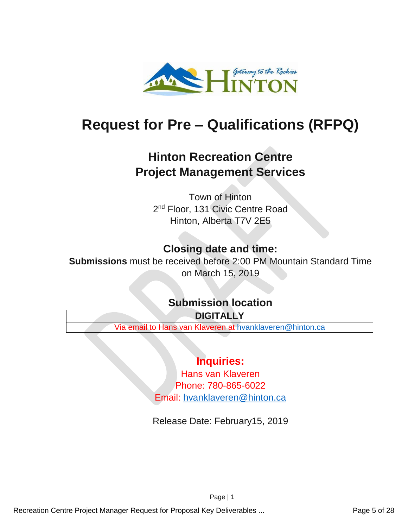

# **Request for Pre – Qualifications (RFPQ)**

# **Hinton Recreation Centre Project Management Services**

Town of Hinton 2<sup>nd</sup> Floor, 131 Civic Centre Road Hinton, Alberta T7V 2E5

# **Closing date and time:**

**Submissions** must be received before 2:00 PM Mountain Standard Time on March 15, 2019

# **Submission location**

**DIGITALLY**

Via email to Hans van Klaveren at [hvanklaveren@hinton.ca](mailto:hvanklaveren@hinton.ca)

# **Inquiries:**

Hans van Klaveren Phone: 780-865-6022 Email: [hvanklaveren@hinton.ca](mailto:hvanklaveren@hinton.ca)

Release Date: February15, 2019

Page | 1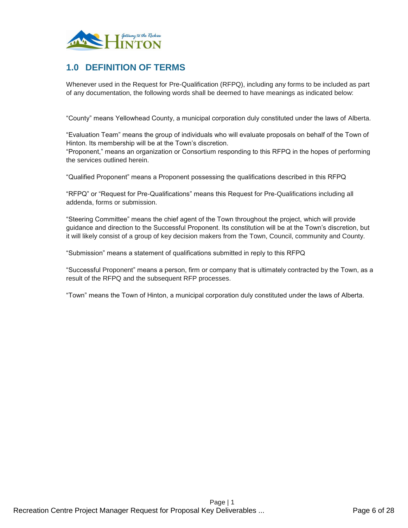

# **1.0 DEFINITION OF TERMS**

Whenever used in the Request for Pre-Qualification (RFPQ), including any forms to be included as part of any documentation, the following words shall be deemed to have meanings as indicated below:

"County" means Yellowhead County, a municipal corporation duly constituted under the laws of Alberta.

"Evaluation Team" means the group of individuals who will evaluate proposals on behalf of the Town of Hinton. Its membership will be at the Town's discretion.

"Proponent," means an organization or Consortium responding to this RFPQ in the hopes of performing the services outlined herein.

"Qualified Proponent" means a Proponent possessing the qualifications described in this RFPQ

"RFPQ" or "Request for Pre-Qualifications" means this Request for Pre-Qualifications including all addenda, forms or submission.

"Steering Committee" means the chief agent of the Town throughout the project, which will provide guidance and direction to the Successful Proponent. Its constitution will be at the Town's discretion, but it will likely consist of a group of key decision makers from the Town, Council, community and County.

"Submission" means a statement of qualifications submitted in reply to this RFPQ

"Successful Proponent" means a person, firm or company that is ultimately contracted by the Town, as a result of the RFPQ and the subsequent RFP processes.

"Town" means the Town of Hinton, a municipal corporation duly constituted under the laws of Alberta.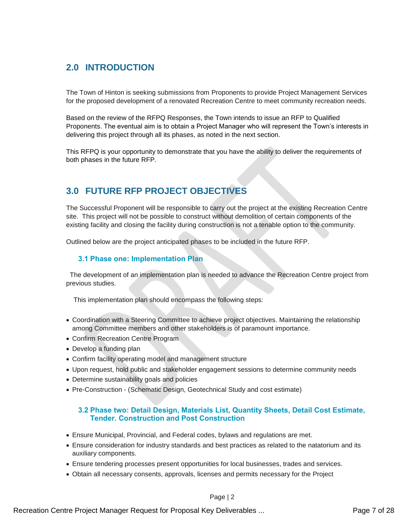# **2.0 INTRODUCTION**

The Town of Hinton is seeking submissions from Proponents to provide Project Management Services for the proposed development of a renovated Recreation Centre to meet community recreation needs.

Based on the review of the RFPQ Responses, the Town intends to issue an RFP to Qualified Proponents. The eventual aim is to obtain a Project Manager who will represent the Town's interests in delivering this project through all its phases, as noted in the next section.

This RFPQ is your opportunity to demonstrate that you have the ability to deliver the requirements of both phases in the future RFP.

# **3.0 FUTURE RFP PROJECT OBJECTIVES**

The Successful Proponent will be responsible to carry out the project at the existing Recreation Centre site. This project will not be possible to construct without demolition of certain components of the existing facility and closing the facility during construction is not a tenable option to the community.

Outlined below are the project anticipated phases to be included in the future RFP.

### **3.1 Phase one: Implementation Plan**

 The development of an implementation plan is needed to advance the Recreation Centre project from previous studies.

This implementation plan should encompass the following steps:

- Coordination with a Steering Committee to achieve project objectives. Maintaining the relationship among Committee members and other stakeholders is of paramount importance.
- Confirm Recreation Centre Program
- Develop a funding plan
- Confirm facility operating model and management structure
- Upon request, hold public and stakeholder engagement sessions to determine community needs
- Determine sustainability goals and policies
- Pre-Construction (Schematic Design, Geotechnical Study and cost estimate)

### **3.2 Phase two: Detail Design, Materials List, Quantity Sheets, Detail Cost Estimate, Tender. Construction and Post Construction**

- Ensure Municipal, Provincial, and Federal codes, bylaws and regulations are met.
- Ensure consideration for industry standards and best practices as related to the natatorium and its auxiliary components.
- Ensure tendering processes present opportunities for local businesses, trades and services.
- Obtain all necessary consents, approvals, licenses and permits necessary for the Project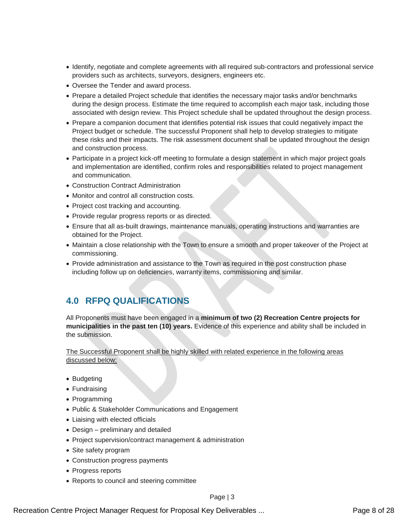- Identify, negotiate and complete agreements with all required sub-contractors and professional service providers such as architects, surveyors, designers, engineers etc.
- Oversee the Tender and award process.
- Prepare a detailed Project schedule that identifies the necessary major tasks and/or benchmarks during the design process. Estimate the time required to accomplish each major task, including those associated with design review. This Project schedule shall be updated throughout the design process.
- Prepare a companion document that identifies potential risk issues that could negatively impact the Project budget or schedule. The successful Proponent shall help to develop strategies to mitigate these risks and their impacts. The risk assessment document shall be updated throughout the design and construction process.
- Participate in a project kick-off meeting to formulate a design statement in which major project goals and implementation are identified, confirm roles and responsibilities related to project management and communication.
- Construction Contract Administration
- Monitor and control all construction costs.
- Project cost tracking and accounting.
- Provide regular progress reports or as directed.
- Ensure that all as-built drawings, maintenance manuals, operating instructions and warranties are obtained for the Project.
- Maintain a close relationship with the Town to ensure a smooth and proper takeover of the Project at commissioning.
- Provide administration and assistance to the Town as required in the post construction phase including follow up on deficiencies, warranty items, commissioning and similar.

# **4.0 RFPQ QUALIFICATIONS**

All Proponents must have been engaged in a **minimum of two (2) Recreation Centre projects for municipalities in the past ten (10) years.** Evidence of this experience and ability shall be included in the submission.

The Successful Proponent shall be highly skilled with related experience in the following areas discussed below:

- Budgeting
- Fundraising
- Programming
- Public & Stakeholder Communications and Engagement
- Liaising with elected officials
- Design preliminary and detailed
- Project supervision/contract management & administration
- Site safety program
- Construction progress payments
- Progress reports
- Reports to council and steering committee

Recreation Centre Project Manager Request for Proposal Key Deliverables ... Phone 1944 Recreation Centre 8 of 28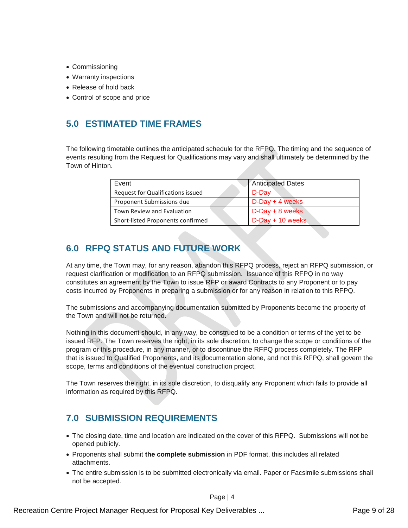- Commissioning
- Warranty inspections
- Release of hold back
- Control of scope and price

# **5.0 ESTIMATED TIME FRAMES**

The following timetable outlines the anticipated schedule for the RFPQ. The timing and the sequence of events resulting from the Request for Qualifications may vary and shall ultimately be determined by the Town of Hinton.

| Event                             | <b>Anticipated Dates</b> |
|-----------------------------------|--------------------------|
| Request for Qualifications issued | D-Day                    |
| Proponent Submissions due         | $D$ -Day + 4 weeks       |
| Town Review and Evaluation        | $D$ -Day + 8 weeks       |
| Short-listed Proponents confirmed | $D$ -Day + 10 weeks      |

# **6.0 RFPQ STATUS AND FUTURE WORK**

At any time, the Town may, for any reason, abandon this RFPQ process, reject an RFPQ submission, or request clarification or modification to an RFPQ submission. Issuance of this RFPQ in no way constitutes an agreement by the Town to issue RFP or award Contracts to any Proponent or to pay costs incurred by Proponents in preparing a submission or for any reason in relation to this RFPQ.

The submissions and accompanying documentation submitted by Proponents become the property of the Town and will not be returned.

Nothing in this document should, in any way, be construed to be a condition or terms of the yet to be issued RFP. The Town reserves the right, in its sole discretion, to change the scope or conditions of the program or this procedure, in any manner, or to discontinue the RFPQ process completely. The RFP that is issued to Qualified Proponents, and its documentation alone, and not this RFPQ, shall govern the scope, terms and conditions of the eventual construction project.

The Town reserves the right, in its sole discretion, to disqualify any Proponent which fails to provide all information as required by this RFPQ.

# **7.0 SUBMISSION REQUIREMENTS**

- The closing date, time and location are indicated on the cover of this RFPQ. Submissions will not be opened publicly.
- Proponents shall submit **the complete submission** in PDF format, this includes all related attachments.
- The entire submission is to be submitted electronically via email. Paper or Facsimile submissions shall not be accepted.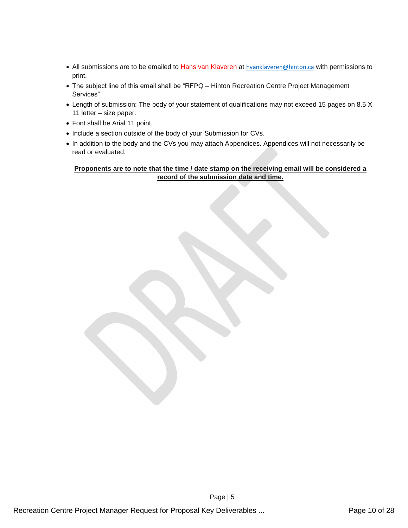- All submissions are to be emailed to Hans van Klaveren at [hvanklaveren@hinton.ca](mailto:hvanklaveren@hinton.ca) with permissions to print.
- The subject line of this email shall be "RFPQ Hinton Recreation Centre Project Management Services"
- Length of submission: The body of your statement of qualifications may not exceed 15 pages on 8.5 X 11 letter – size paper.
- Font shall be Arial 11 point.
- Include a section outside of the body of your Submission for CVs.
- In addition to the body and the CVs you may attach Appendices. Appendices will not necessarily be read or evaluated.

### **Proponents are to note that the time / date stamp on the receiving email will be considered a record of the submission date and time.**

Page | 5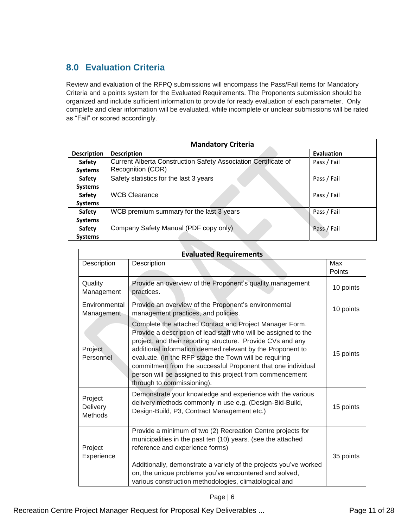# **8.0 Evaluation Criteria**

Review and evaluation of the RFPQ submissions will encompass the Pass/Fail items for Mandatory Criteria and a points system for the Evaluated Requirements. The Proponents submission should be organized and include sufficient information to provide for ready evaluation of each parameter. Only complete and clear information will be evaluated, while incomplete or unclear submissions will be rated as "Fail" or scored accordingly.

| <b>Mandatory Criteria</b> |                                                                |                   |
|---------------------------|----------------------------------------------------------------|-------------------|
| <b>Description</b>        | <b>Description</b>                                             | <b>Evaluation</b> |
| Safety                    | Current Alberta Construction Safety Association Certificate of | Pass / Fail       |
| <b>Systems</b>            | Recognition (COR)                                              |                   |
| Safety                    | Safety statistics for the last 3 years                         | Pass / Fail       |
| <b>Systems</b>            |                                                                |                   |
| Safety                    | <b>WCB Clearance</b>                                           | Pass / Fail       |
| <b>Systems</b>            |                                                                |                   |
| Safety                    | WCB premium summary for the last 3 years                       | Pass / Fail       |
| <b>Systems</b>            |                                                                |                   |
| <b>Safety</b>             | Company Safety Manual (PDF copy only)                          | Pass / Fail       |
| <b>Systems</b>            |                                                                |                   |
|                           |                                                                |                   |

| <b>Evaluated Requirements</b>  |                                                                                                                                                                                                                                                                                                                                                                                                                                                                              |               |
|--------------------------------|------------------------------------------------------------------------------------------------------------------------------------------------------------------------------------------------------------------------------------------------------------------------------------------------------------------------------------------------------------------------------------------------------------------------------------------------------------------------------|---------------|
| Description                    | Description                                                                                                                                                                                                                                                                                                                                                                                                                                                                  | Max<br>Points |
| Quality<br>Management          | Provide an overview of the Proponent's quality management<br>practices.                                                                                                                                                                                                                                                                                                                                                                                                      | 10 points     |
| Environmental<br>Management    | Provide an overview of the Proponent's environmental<br>management practices, and policies.                                                                                                                                                                                                                                                                                                                                                                                  | 10 points     |
| Project<br>Personnel           | Complete the attached Contact and Project Manager Form.<br>Provide a description of lead staff who will be assigned to the<br>project, and their reporting structure. Provide CVs and any<br>additional information deemed relevant by the Proponent to<br>evaluate. (In the RFP stage the Town will be requiring<br>commitment from the successful Proponent that one individual<br>person will be assigned to this project from commencement<br>through to commissioning). | 15 points     |
| Project<br>Delivery<br>Methods | Demonstrate your knowledge and experience with the various<br>delivery methods commonly in use e.g. (Design-Bid-Build,<br>Design-Build, P3, Contract Management etc.)                                                                                                                                                                                                                                                                                                        | 15 points     |
| Project<br>Experience          | Provide a minimum of two (2) Recreation Centre projects for<br>municipalities in the past ten (10) years. (see the attached<br>reference and experience forms)<br>Additionally, demonstrate a variety of the projects you've worked<br>on, the unique problems you've encountered and solved,<br>various construction methodologies, climatological and                                                                                                                      | 35 points     |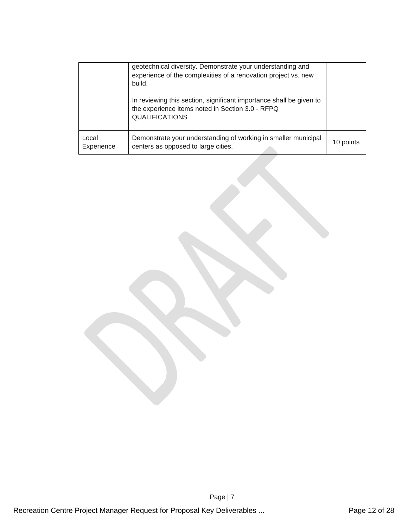|                     | geotechnical diversity. Demonstrate your understanding and<br>experience of the complexities of a renovation project vs. new<br>build.           |           |
|---------------------|--------------------------------------------------------------------------------------------------------------------------------------------------|-----------|
|                     | In reviewing this section, significant importance shall be given to<br>the experience items noted in Section 3.0 - RFPQ<br><b>QUALIFICATIONS</b> |           |
| Local<br>Experience | Demonstrate your understanding of working in smaller municipal<br>centers as opposed to large cities.                                            | 10 points |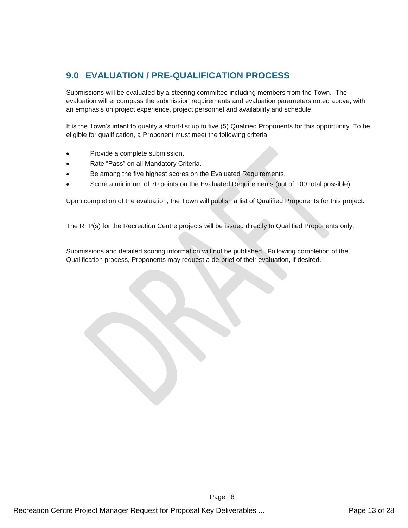# **9.0 EVALUATION / PRE-QUALIFICATION PROCESS**

Submissions will be evaluated by a steering committee including members from the Town. The evaluation will encompass the submission requirements and evaluation parameters noted above, with an emphasis on project experience, project personnel and availability and schedule.

It is the Town's intent to qualify a short-list up to five (5) Qualified Proponents for this opportunity. To be eligible for qualification, a Proponent must meet the following criteria:

- Provide a complete submission.
- Rate "Pass" on all Mandatory Criteria.
- Be among the five highest scores on the Evaluated Requirements.
- Score a minimum of 70 points on the Evaluated Requirements (out of 100 total possible).

Upon completion of the evaluation, the Town will publish a list of Qualified Proponents for this project.

The RFP(s) for the Recreation Centre projects will be issued directly to Qualified Proponents only.

Submissions and detailed scoring information will not be published. Following completion of the Qualification process, Proponents may request a de-brief of their evaluation, if desired.

Page | 8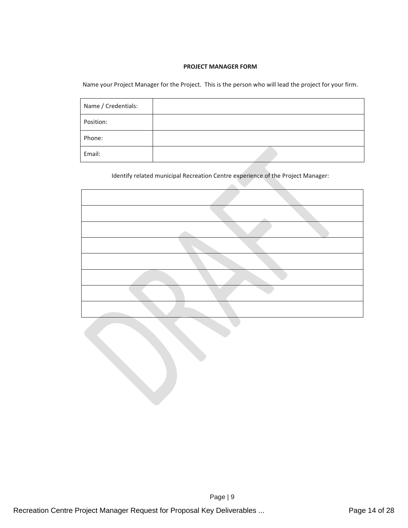### **PROJECT MANAGER FORM**

Name your Project Manager for the Project. This is the person who will lead the project for your firm.

| Name / Credentials: |  |
|---------------------|--|
| Position:           |  |
| Phone:              |  |
| Email:              |  |

Identify related municipal Recreation Centre experience of the Project Manager: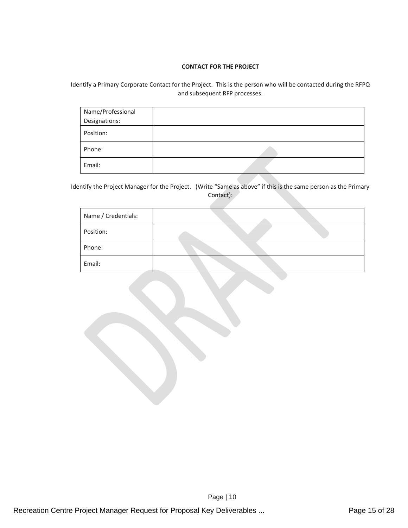### **CONTACT FOR THE PROJECT**

Identify a Primary Corporate Contact for the Project. This is the person who will be contacted during the RFPQ and subsequent RFP processes.

| Name/Professional |  |
|-------------------|--|
| Designations:     |  |
| Position:         |  |
| Phone:            |  |
| Email:            |  |

Identify the Project Manager for the Project. (Write "Same as above" if this is the same person as the Primary Contact):

| Name / Credentials: |  |
|---------------------|--|
| Position:           |  |
| Phone:              |  |
| Email:              |  |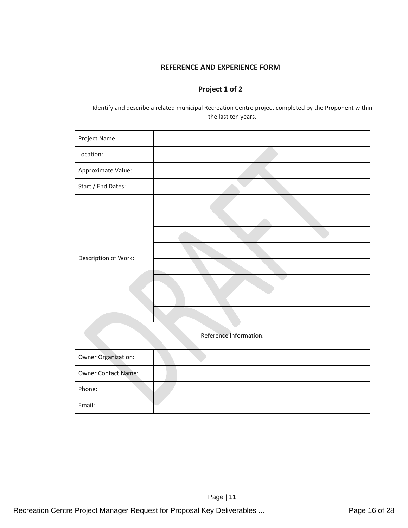## **REFERENCE AND EXPERIENCE FORM**

# **Project 1 of 2**

Identify and describe a related municipal Recreation Centre project completed by the Proponent within the last ten years.

| Project Name:          |  |
|------------------------|--|
| Location:              |  |
| Approximate Value:     |  |
| Start / End Dates:     |  |
| Description of Work:   |  |
| Reference Information: |  |

| <b>Owner Organization:</b> |  |
|----------------------------|--|
| <b>Owner Contact Name:</b> |  |
| Phone:                     |  |
| Email:                     |  |

Page | 11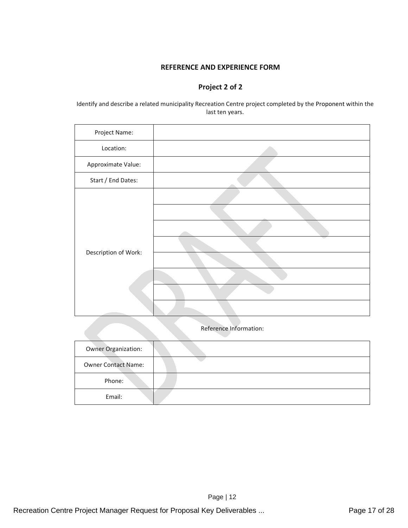### **REFERENCE AND EXPERIENCE FORM**

# **Project 2 of 2**

Identify and describe a related municipality Recreation Centre project completed by the Proponent within the last ten years.

| Project Name:        |                        |
|----------------------|------------------------|
| Location:            |                        |
| Approximate Value:   |                        |
| Start / End Dates:   |                        |
| Description of Work: | Reference Information: |
| Owner Organization:  |                        |

| <b>Owner Organization:</b> |  |
|----------------------------|--|
| <b>Owner Contact Name:</b> |  |
| Phone:                     |  |
| Email:                     |  |

Page | 12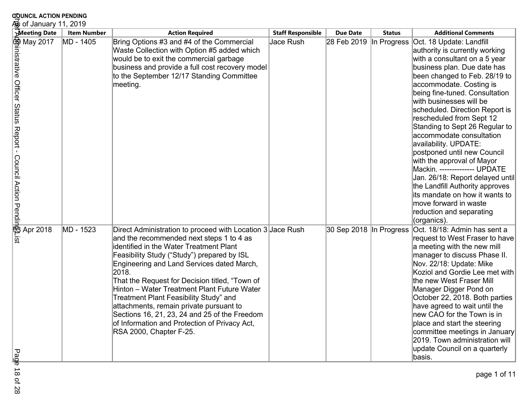| <b>COUNCIL ACTION PENDING</b><br><del>矯</del> of January 11, 2019              |                    |                                                                                                                                                                                                                                                                                                                                                                                                                                                                                                                                                                            |                          |                         |               |                                                                                                                                                                                                                                                                                                                                                                                                                                                                                                                                                                                                                                                                                      |
|--------------------------------------------------------------------------------|--------------------|----------------------------------------------------------------------------------------------------------------------------------------------------------------------------------------------------------------------------------------------------------------------------------------------------------------------------------------------------------------------------------------------------------------------------------------------------------------------------------------------------------------------------------------------------------------------------|--------------------------|-------------------------|---------------|--------------------------------------------------------------------------------------------------------------------------------------------------------------------------------------------------------------------------------------------------------------------------------------------------------------------------------------------------------------------------------------------------------------------------------------------------------------------------------------------------------------------------------------------------------------------------------------------------------------------------------------------------------------------------------------|
| <b>Meeting Date</b>                                                            | <b>Item Number</b> | <b>Action Required</b>                                                                                                                                                                                                                                                                                                                                                                                                                                                                                                                                                     | <b>Staff Responsible</b> | <b>Due Date</b>         | <b>Status</b> | <b>Additional Comments</b>                                                                                                                                                                                                                                                                                                                                                                                                                                                                                                                                                                                                                                                           |
| <b>母</b> May 2017<br>inistrative Officer Status Report - Council Action Pendin | MD - 1405          | Bring Options #3 and #4 of the Commercial<br>Waste Collection with Option #5 added which<br>would be to exit the commercial garbage<br>business and provide a full cost recovery model<br>to the September 12/17 Standing Committee<br>meeting.                                                                                                                                                                                                                                                                                                                            | Jace Rush                | 28 Feb 2019             | In Progress   | Oct. 18 Update: Landfill<br>authority is currently working<br>with a consultant on a 5 year<br>business plan. Due date has<br>been changed to Feb. 28/19 to<br>accommodate. Costing is<br>being fine-tuned. Consultation<br>with businesses will be<br>scheduled. Direction Report is<br>rescheduled from Sept 12<br>Standing to Sept 26 Regular to<br>accommodate consultation<br>availability. UPDATE:<br>postponed until new Council<br>with the approval of Mayor<br>Mackin. -------------- UPDATE<br>Jan. 26/18: Report delayed until<br>the Landfill Authority approves<br>lits mandate on how it wants to<br>move forward in waste<br>reduction and separating<br>(organics). |
| <b>B</b> Apr 2018<br>ឆ្ន<br>р<br>ख<br>هَ                                       | MD - 1523          | Direct Administration to proceed with Location 3 Jace Rush<br>and the recommended next steps 1 to 4 as<br>identified in the Water Treatment Plant<br>Feasibility Study ("Study") prepared by ISL<br>Engineering and Land Services dated March,<br>2018.<br>That the Request for Decision titled, "Town of<br>Hinton - Water Treatment Plant Future Water<br>Treatment Plant Feasibility Study" and<br>attachments, remain private pursuant to<br>Sections 16, 21, 23, 24 and 25 of the Freedom<br>of Information and Protection of Privacy Act,<br>RSA 2000, Chapter F-25. |                          | 30 Sep 2018 In Progress |               | Oct. 18/18: Admin has sent a<br>request to West Fraser to have<br>a meeting with the new mill<br>manager to discuss Phase II.<br>Nov. 22/18: Update: Mike<br>Koziol and Gordie Lee met with<br>the new West Fraser Mill<br>Manager Digger Pond on<br>October 22, 2018. Both parties<br>have agreed to wait until the<br>new CAO for the Town is in<br>place and start the steering<br>committee meetings in January<br>2019. Town administration will<br>update Council on a quarterly<br>basis.                                                                                                                                                                                     |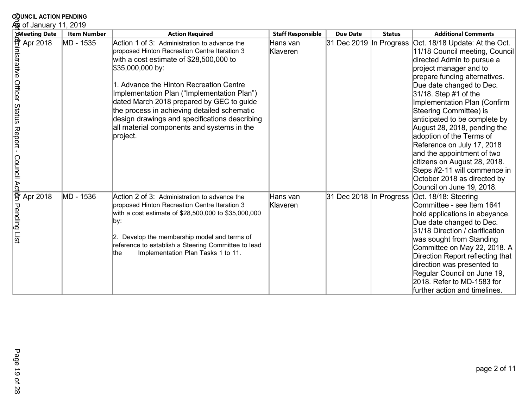| <b>COUNCIL ACTION PENDING</b>                                                                                           |                    |                                                                                                                                                                                                                                                                                                                                                                                                                                                               |                          |                         |               |                                                                                                                                                                                                                                                                                                                                                                                                                                                                                                                                                               |
|-------------------------------------------------------------------------------------------------------------------------|--------------------|---------------------------------------------------------------------------------------------------------------------------------------------------------------------------------------------------------------------------------------------------------------------------------------------------------------------------------------------------------------------------------------------------------------------------------------------------------------|--------------------------|-------------------------|---------------|---------------------------------------------------------------------------------------------------------------------------------------------------------------------------------------------------------------------------------------------------------------------------------------------------------------------------------------------------------------------------------------------------------------------------------------------------------------------------------------------------------------------------------------------------------------|
| க் of January 11, 2019                                                                                                  |                    |                                                                                                                                                                                                                                                                                                                                                                                                                                                               |                          |                         |               |                                                                                                                                                                                                                                                                                                                                                                                                                                                                                                                                                               |
| <b>Meeting Date</b>                                                                                                     | <b>Item Number</b> | <b>Action Required</b>                                                                                                                                                                                                                                                                                                                                                                                                                                        | <b>Staff Responsible</b> | <b>Due Date</b>         | <b>Status</b> | <b>Additional Comments</b>                                                                                                                                                                                                                                                                                                                                                                                                                                                                                                                                    |
| $\frac{1}{\text{After } \text{A}}$<br>Apr 2018<br>Apr 2018<br>Aprenig Date<br>Aprenig Date<br>Report-<br>Council Actist | MD - 1535          | Action 1 of 3: Administration to advance the<br>proposed Hinton Recreation Centre Iteration 3<br>with a cost estimate of \$28,500,000 to<br>\$35,000,000 by:<br>1. Advance the Hinton Recreation Centre<br>Implementation Plan ("Implementation Plan")<br>dated March 2018 prepared by GEC to guide<br>the process in achieving detailed schematic<br>design drawings and specifications describing<br>all material components and systems in the<br>project. | Hans van<br>Klaveren     | 31 Dec 2019 In Progress |               | Oct. 18/18 Update: At the Oct.<br>11/18 Council meeting, Council<br>directed Admin to pursue a<br>project manager and to<br>prepare funding alternatives.<br>Due date changed to Dec.<br>31/18. Step #1 of the<br>Implementation Plan (Confirm<br>Steering Committee) is<br>anticipated to be complete by<br>August 28, 2018, pending the<br>adoption of the Terms of<br>Reference on July 17, 2018<br>and the appointment of two<br>citizens on August 28, 2018.<br>Steps #2-11 will commence in<br>October 2018 as directed by<br>Council on June 19, 2018. |
| Apr 2018<br>Pending List                                                                                                | MD - 1536          | Action 2 of 3: Administration to advance the<br>proposed Hinton Recreation Centre Iteration 3<br>with a cost estimate of \$28,500,000 to \$35,000,000<br>∥by:<br>2. Develop the membership model and terms of<br>reference to establish a Steering Committee to lead<br>Implementation Plan Tasks 1 to 11.<br>lthe                                                                                                                                            | Hans van<br>Klaveren     | 31 Dec 2018 In Progress |               | Oct. 18/18: Steering<br>Committee - see Item 1641<br>hold applications in abeyance.<br>Due date changed to Dec.<br>31/18 Direction / clarification<br>was sought from Standing<br>Committee on May 22, 2018. A<br>Direction Report reflecting that<br>direction was presented to<br>Regular Council on June 19,<br>2018. Refer to MD-1583 for<br>further action and timelines.                                                                                                                                                                                |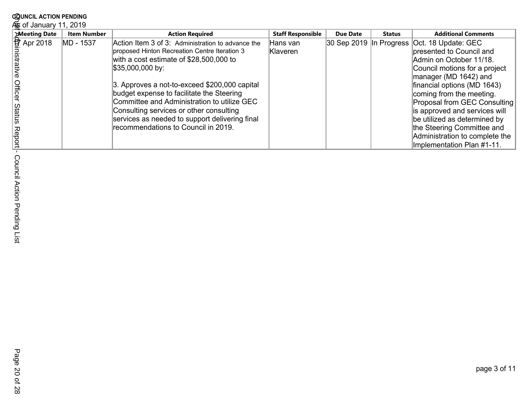| <b>Meeting Date</b>     | <b>Item Number</b> | <b>Action Required</b>                            | <b>Staff Responsible</b> | <b>Due Date</b> | <b>Status</b> | <b>Additional Comments</b>                    |
|-------------------------|--------------------|---------------------------------------------------|--------------------------|-----------------|---------------|-----------------------------------------------|
| $\frac{6}{17}$ Apr 2018 | MD - 1537          | Action Item 3 of 3: Administration to advance the | Hans van                 |                 |               | 30 Sep 2019 In Progress   Oct. 18 Update: GEC |
|                         |                    | proposed Hinton Recreation Centre Iteration 3     | Klaveren                 |                 |               | bresented to Council and                      |
|                         |                    | with a cost estimate of \$28,500,000 to           |                          |                 |               | Admin on October 11/18.                       |
|                         |                    | $$35,000,000$ by:                                 |                          |                 |               | Council motions for a project                 |
|                         |                    |                                                   |                          |                 |               | manager (MD 1642) and                         |
|                         |                    | 3. Approves a not-to-exceed \$200,000 capital     |                          |                 |               | financial options (MD 1643)                   |
|                         |                    | budget expense to facilitate the Steering         |                          |                 |               | coming from the meeting.                      |
|                         |                    | Committee and Administration to utilize GEC       |                          |                 |               | Proposal from GEC Consulting                  |
| Statt                   |                    | Consulting services or other consulting           |                          |                 |               | is approved and services will                 |
|                         |                    | services as needed to support delivering final    |                          |                 |               | be utilized as determined by                  |
|                         |                    | recommendations to Council in 2019.               |                          |                 |               | the Steering Committee and                    |
|                         |                    |                                                   |                          |                 |               | Administration to complete the                |
|                         |                    |                                                   |                          |                 |               | Implementation Plan #1-11.                    |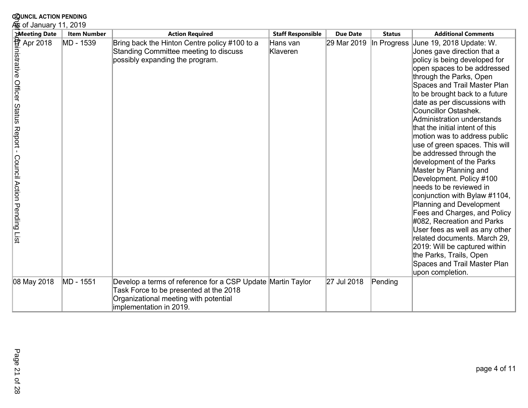| <b>COUNCIL ACTION PENDING</b>                                                                                                                                                                               |                    |                                                                                                                                                                           |                          |                 |               |                                                                                                                                                                                                                                                                                                                                                                                                                                                                                                                                                                                                                                                                                                                                                                                                                                                                       |  |
|-------------------------------------------------------------------------------------------------------------------------------------------------------------------------------------------------------------|--------------------|---------------------------------------------------------------------------------------------------------------------------------------------------------------------------|--------------------------|-----------------|---------------|-----------------------------------------------------------------------------------------------------------------------------------------------------------------------------------------------------------------------------------------------------------------------------------------------------------------------------------------------------------------------------------------------------------------------------------------------------------------------------------------------------------------------------------------------------------------------------------------------------------------------------------------------------------------------------------------------------------------------------------------------------------------------------------------------------------------------------------------------------------------------|--|
| க் of January 11, 2019                                                                                                                                                                                      |                    |                                                                                                                                                                           |                          |                 |               |                                                                                                                                                                                                                                                                                                                                                                                                                                                                                                                                                                                                                                                                                                                                                                                                                                                                       |  |
| Meeting Date                                                                                                                                                                                                | <b>Item Number</b> | <b>Action Required</b>                                                                                                                                                    | <b>Staff Responsible</b> | <b>Due Date</b> | <b>Status</b> | <b>Additional Comments</b>                                                                                                                                                                                                                                                                                                                                                                                                                                                                                                                                                                                                                                                                                                                                                                                                                                            |  |
| Meeting Date<br>Apr 2018<br>$\overrightarrow{AP}$ Apr 2018<br>$\overrightarrow{AP}$ Apr 2018<br>$\overrightarrow{AP}$ Apr 2018<br>$\overrightarrow{OP}$ Apr 2018<br>Council Action Pending<br>$\frac{1}{2}$ | MD - 1539          | Bring back the Hinton Centre policy #100 to a<br>Standing Committee meeting to discuss<br>possibly expanding the program.                                                 | Hans van<br>Klaveren     | 29 Mar 2019     | In Progress   | June 19, 2018 Update: W.<br>Jones gave direction that a<br>policy is being developed for<br>open spaces to be addressed<br>through the Parks, Open<br>Spaces and Trail Master Plan<br>to be brought back to a future<br>date as per discussions with<br>Councillor Ostashek.<br>Administration understands<br>that the initial intent of this<br>motion was to address public<br>use of green spaces. This will<br>be addressed through the<br>development of the Parks<br>Master by Planning and<br>Development. Policy #100<br>needs to be reviewed in<br>conjunction with Bylaw #1104,<br>Planning and Development<br>Fees and Charges, and Policy<br>#082, Recreation and Parks<br>User fees as well as any other<br>related documents. March 29,<br>2019: Will be captured within<br>the Parks, Trails, Open<br>Spaces and Trail Master Plan<br>upon completion. |  |
| 08 May 2018                                                                                                                                                                                                 | MD - 1551          | Develop a terms of reference for a CSP Update Martin Taylor<br>Task Force to be presented at the 2018<br>Organizational meeting with potential<br>implementation in 2019. |                          | 27 Jul 2018     | Pending       |                                                                                                                                                                                                                                                                                                                                                                                                                                                                                                                                                                                                                                                                                                                                                                                                                                                                       |  |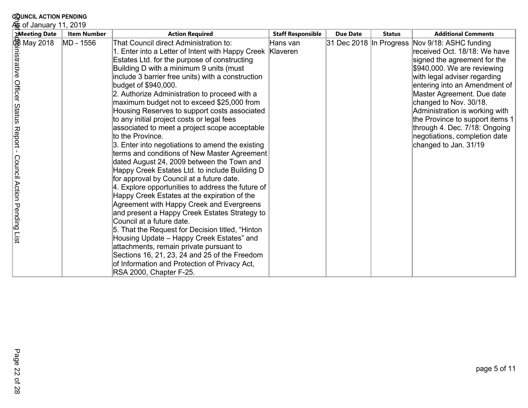| <b>COUNCIL ACTION PENDING</b>                                                 |                    |                                                                                                                                                                                                                                                                                                                                                                                                                                                                                                                                                                                                                                                                                                                                                                                                                                                                                                                                                                                                                                                                                                                                                                                                                                                                                                          |                          |                            |               |                                                                                                                                                                                                                                                                                                                                                                                                                |
|-------------------------------------------------------------------------------|--------------------|----------------------------------------------------------------------------------------------------------------------------------------------------------------------------------------------------------------------------------------------------------------------------------------------------------------------------------------------------------------------------------------------------------------------------------------------------------------------------------------------------------------------------------------------------------------------------------------------------------------------------------------------------------------------------------------------------------------------------------------------------------------------------------------------------------------------------------------------------------------------------------------------------------------------------------------------------------------------------------------------------------------------------------------------------------------------------------------------------------------------------------------------------------------------------------------------------------------------------------------------------------------------------------------------------------|--------------------------|----------------------------|---------------|----------------------------------------------------------------------------------------------------------------------------------------------------------------------------------------------------------------------------------------------------------------------------------------------------------------------------------------------------------------------------------------------------------------|
| கு of January 11, 2019                                                        |                    |                                                                                                                                                                                                                                                                                                                                                                                                                                                                                                                                                                                                                                                                                                                                                                                                                                                                                                                                                                                                                                                                                                                                                                                                                                                                                                          |                          |                            |               |                                                                                                                                                                                                                                                                                                                                                                                                                |
| <b>Meeting Date</b>                                                           | <b>Item Number</b> | <b>Action Required</b>                                                                                                                                                                                                                                                                                                                                                                                                                                                                                                                                                                                                                                                                                                                                                                                                                                                                                                                                                                                                                                                                                                                                                                                                                                                                                   | <b>Staff Responsible</b> | <b>Due Date</b>            | <b>Status</b> | <b>Additional Comments</b>                                                                                                                                                                                                                                                                                                                                                                                     |
| 够 May 2018<br>inistrative Officer Status Report - Council Action Pending List | MD - 1556          | That Council direct Administration to:<br>1. Enter into a Letter of Intent with Happy Creek Klaveren<br>Estates Ltd. for the purpose of constructing<br>Building D with a minimum 9 units (must<br>include 3 barrier free units) with a construction<br>budget of \$940,000.<br>2. Authorize Administration to proceed with a<br>maximum budget not to exceed \$25,000 from<br>Housing Reserves to support costs associated<br>to any initial project costs or legal fees<br>associated to meet a project scope acceptable<br>to the Province.<br>3. Enter into negotiations to amend the existing<br>terms and conditions of New Master Agreement<br>dated August 24, 2009 between the Town and<br>Happy Creek Estates Ltd. to include Building D<br>for approval by Council at a future date.<br>4. Explore opportunities to address the future of<br>Happy Creek Estates at the expiration of the<br>Agreement with Happy Creek and Evergreens<br>and present a Happy Creek Estates Strategy to<br>Council at a future date.<br>5. That the Request for Decision titled, "Hinton<br>Housing Update - Happy Creek Estates" and<br>attachments, remain private pursuant to<br>Sections 16, 21, 23, 24 and 25 of the Freedom<br>of Information and Protection of Privacy Act,<br>RSA 2000, Chapter F-25. | Hans van                 | $ 31$ Dec 2018 In Progress |               | Nov 9/18: ASHC funding<br>received Oct. 18/18: We have<br>signed the agreement for the<br>\$940,000. We are reviewing<br>with legal adviser regarding<br>entering into an Amendment of<br>Master Agreement. Due date<br>changed to Nov. 30/18.<br>Administration is working with<br>the Province to support items 1<br>through 4. Dec. 7/18: Ongoing<br>negotiations, completion date<br>changed to Jan. 31/19 |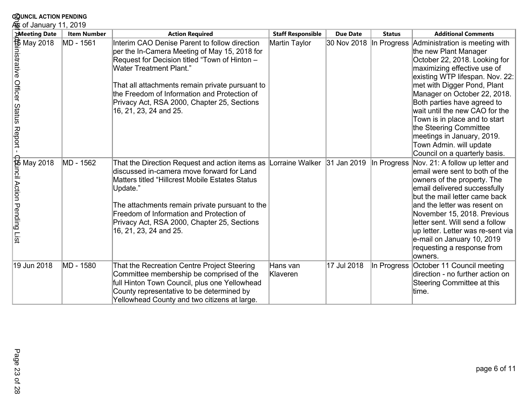| <b>COUNCIL ACTION PENDING</b>                                                                                                                                                                                                                                                   |                        |                                                                                                                                                                                                                                                                                                                                                               |                          |                         |               |                                                                                                                                                                                                                                                                                                                                                                                                                                                 |  |  |  |
|---------------------------------------------------------------------------------------------------------------------------------------------------------------------------------------------------------------------------------------------------------------------------------|------------------------|---------------------------------------------------------------------------------------------------------------------------------------------------------------------------------------------------------------------------------------------------------------------------------------------------------------------------------------------------------------|--------------------------|-------------------------|---------------|-------------------------------------------------------------------------------------------------------------------------------------------------------------------------------------------------------------------------------------------------------------------------------------------------------------------------------------------------------------------------------------------------------------------------------------------------|--|--|--|
|                                                                                                                                                                                                                                                                                 | க் of January 11, 2019 |                                                                                                                                                                                                                                                                                                                                                               |                          |                         |               |                                                                                                                                                                                                                                                                                                                                                                                                                                                 |  |  |  |
| <b>Meeting Date</b>                                                                                                                                                                                                                                                             | <b>Item Number</b>     | <b>Action Required</b>                                                                                                                                                                                                                                                                                                                                        | <b>Staff Responsible</b> | <b>Due Date</b>         | <b>Status</b> | <b>Additional Comments</b>                                                                                                                                                                                                                                                                                                                                                                                                                      |  |  |  |
| Meeting Date<br>May 2018<br>Meeting May 2018<br>Meeting Date<br>Meeting Date<br>Official Association<br>Official Association<br>Official Association<br>Contains and Contract - Contract - Contract - Contract - Contract - Contract - Contract<br>- Cont                       | MD - 1561              | Interim CAO Denise Parent to follow direction<br>per the In-Camera Meeting of May 15, 2018 for<br>Request for Decision titled "Town of Hinton -<br><b>Water Treatment Plant."</b><br>That all attachments remain private pursuant to<br>the Freedom of Information and Protection of<br>Privacy Act, RSA 2000, Chapter 25, Sections<br>16, 21, 23, 24 and 25. | Martin Taylor            | 30 Nov 2018 In Progress |               | Administration is meeting with<br>the new Plant Manager<br>October 22, 2018. Looking for<br>maximizing effective use of<br>existing WTP lifespan. Nov. 22:<br>met with Digger Pond, Plant<br>Manager on October 22, 2018.<br>Both parties have agreed to<br>wait until the new CAO for the<br>Town is in place and to start<br>the Steering Committee<br>meetings in January, 2019.<br>Town Admin. will update<br>Council on a quarterly basis. |  |  |  |
| -<br>Diminis May 2018<br>Diminis Tomagna<br>Diminis Tomagna<br>Diminis Tomagna<br>Diminis Tomagna<br>Diminis Tomagna<br>Diminis Tomagna<br>Diminis Tomagna<br>Diminis Tomagna<br>Diminis Tomagna<br>Diminis Tomagna<br>Diminis Tomagna<br>Diminis Tomagna<br>Diminis To<br>List | MD - 1562              | That the Direction Request and action items as Lorraine Walker<br>discussed in-camera move forward for Land<br>Matters titled "Hillcrest Mobile Estates Status<br>Update."<br>The attachments remain private pursuant to the<br>Freedom of Information and Protection of<br>Privacy Act, RSA 2000, Chapter 25, Sections<br>16, 21, 23, 24 and 25.             |                          | 31 Jan 2019             | In Progress   | Nov. 21: A follow up letter and<br>email were sent to both of the<br>owners of the property. The<br>email delivered successfully<br>but the mail letter came back<br>and the letter was resent on<br>November 15, 2018. Previous<br>letter sent. Will send a follow<br>up letter. Letter was re-sent via<br>e-mail on January 10, 2019<br>requesting a response from<br>lowners.                                                                |  |  |  |
| 19 Jun 2018                                                                                                                                                                                                                                                                     | MD - 1580              | That the Recreation Centre Project Steering<br>Committee membership be comprised of the<br>full Hinton Town Council, plus one Yellowhead<br>County representative to be determined by<br>Yellowhead County and two citizens at large.                                                                                                                         | Hans van<br>Klaveren     | 17 Jul 2018             | In Progress   | October 11 Council meeting<br>direction - no further action on<br>Steering Committee at this<br>time.                                                                                                                                                                                                                                                                                                                                           |  |  |  |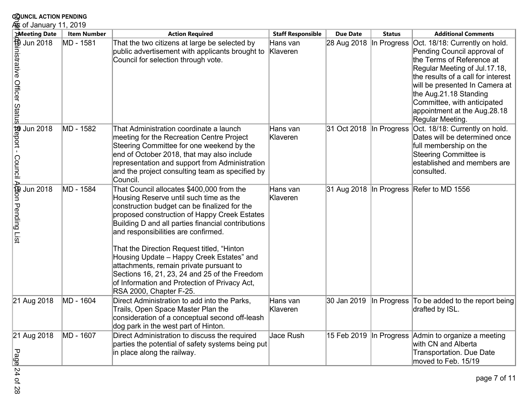| <b>COUNCIL ACTION PENDING</b><br>கு of January 11, 2019                              |                    |                                                                                                                                                                                                                                                                                                                                                                                                                                                                                                                                                     |                          |                          |               |                                                                                                                                                                                                                                                                                                                  |  |  |
|--------------------------------------------------------------------------------------|--------------------|-----------------------------------------------------------------------------------------------------------------------------------------------------------------------------------------------------------------------------------------------------------------------------------------------------------------------------------------------------------------------------------------------------------------------------------------------------------------------------------------------------------------------------------------------------|--------------------------|--------------------------|---------------|------------------------------------------------------------------------------------------------------------------------------------------------------------------------------------------------------------------------------------------------------------------------------------------------------------------|--|--|
| <b>Meeting Date</b>                                                                  | <b>Item Number</b> | <b>Action Required</b>                                                                                                                                                                                                                                                                                                                                                                                                                                                                                                                              | <b>Staff Responsible</b> | <b>Due Date</b>          | <b>Status</b> | <b>Additional Comments</b>                                                                                                                                                                                                                                                                                       |  |  |
| Meeting Date<br>Jun 2018<br>Jun 2018<br>States<br>States<br>Meeting Date<br>Jun 2018 | MD - 1581          | That the two citizens at large be selected by<br>public advertisement with applicants brought to<br>Council for selection through vote.                                                                                                                                                                                                                                                                                                                                                                                                             | Hans van<br>Klaveren     | 28 Aug 2018  In Progress |               | Oct. 18/18: Currently on hold.<br>Pending Council approval of<br>the Terms of Reference at<br>Regular Meeting of Jul.17.18,<br>the results of a call for interest<br>will be presented In Camera at<br>the Aug.21.18 Standing<br>Committee, with anticipated<br>appointment at the Aug.28.18<br>Regular Meeting. |  |  |
| 協eport-<br>Jun 2018                                                                  | MD - 1582          | That Administration coordinate a launch<br>meeting for the Recreation Centre Project<br>Steering Committee for one weekend by the<br>end of October 2018, that may also include<br>representation and support from Administration<br>and the project consulting team as specified by<br>Council.                                                                                                                                                                                                                                                    | Hans van<br>Klaveren     | 31 Oct 2018 In Progress  |               | Oct. 18/18: Currently on hold.<br>Dates will be determined once<br>full membership on the<br><b>Steering Committee is</b><br>established and members are<br>consulted.                                                                                                                                           |  |  |
| Council A嵤on Pending List<br><b>Jun 2018</b>                                         | MD - 1584          | That Council allocates \$400,000 from the<br>Housing Reserve until such time as the<br>construction budget can be finalized for the<br>proposed construction of Happy Creek Estates<br>Building D and all parties financial contributions<br>and responsibilities are confirmed.<br>That the Direction Request titled, "Hinton<br>Housing Update - Happy Creek Estates" and<br>attachments, remain private pursuant to<br>Sections 16, 21, 23, 24 and 25 of the Freedom<br>of Information and Protection of Privacy Act,<br>RSA 2000, Chapter F-25. | Hans van<br>Klaveren     |                          |               | 31 Aug 2018 In Progress Refer to MD 1556                                                                                                                                                                                                                                                                         |  |  |
| 21 Aug 2018                                                                          | MD - 1604          | Direct Administration to add into the Parks,<br>Trails, Open Space Master Plan the<br>consideration of a conceptual second off-leash<br>dog park in the west part of Hinton.                                                                                                                                                                                                                                                                                                                                                                        | Hans van<br>Klaveren     | 30 Jan 2019              |               | In Progress To be added to the report being<br>drafted by ISL.                                                                                                                                                                                                                                                   |  |  |
| 21 Aug 2018<br>Page                                                                  | MD - 1607          | Direct Administration to discuss the required<br>parties the potential of safety systems being put<br>in place along the railway.                                                                                                                                                                                                                                                                                                                                                                                                                   | Jace Rush                |                          |               | 15 Feb 2019 In Progress Admin to organize a meeting<br>with CN and Alberta<br>Transportation. Due Date<br>moved to Feb. 15/19                                                                                                                                                                                    |  |  |
| 24 of<br>82                                                                          |                    |                                                                                                                                                                                                                                                                                                                                                                                                                                                                                                                                                     |                          |                          |               | page 7 of 11                                                                                                                                                                                                                                                                                                     |  |  |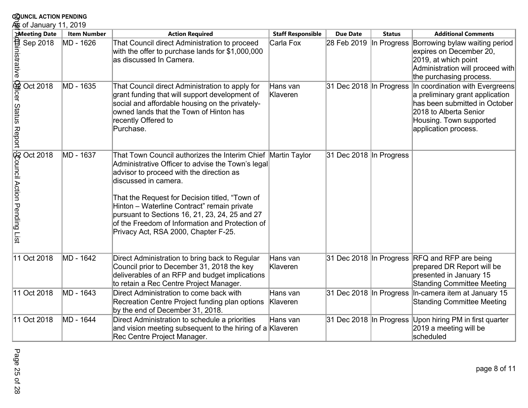| <b>COUNCIL ACTION PENDING</b>                                 |                    |                                                                                                                                                                                                                                                                                                                                                                                                                                     |                          |                         |               |                                                                                                                                                                                                          |
|---------------------------------------------------------------|--------------------|-------------------------------------------------------------------------------------------------------------------------------------------------------------------------------------------------------------------------------------------------------------------------------------------------------------------------------------------------------------------------------------------------------------------------------------|--------------------------|-------------------------|---------------|----------------------------------------------------------------------------------------------------------------------------------------------------------------------------------------------------------|
| ⁄ெக் of January 11, 2019                                      |                    |                                                                                                                                                                                                                                                                                                                                                                                                                                     |                          |                         |               |                                                                                                                                                                                                          |
| <b>Meeting Date</b>                                           | <b>Item Number</b> | <b>Action Required</b>                                                                                                                                                                                                                                                                                                                                                                                                              | <b>Staff Responsible</b> | <b>Due Date</b>         | <b>Status</b> | <b>Additional Comments</b>                                                                                                                                                                               |
| Sep 2018<br>Sep 2018<br>Sep 2018                              | MD - 1626          | That Council direct Administration to proceed<br>with the offer to purchase lands for \$1,000,000<br>las discussed In Camera.                                                                                                                                                                                                                                                                                                       | Carla Fox                | 28 Feb 2019             |               | In Progress Borrowing bylaw waiting period<br>expires on December 20,<br>2019, at which point<br>Administration will proceed with<br>the purchasing process.                                             |
| Officer Status Report<br>Oct 2018                             | MD - 1635          | That Council direct Administration to apply for<br>grant funding that will support development of<br>social and affordable housing on the privately-<br>owned lands that the Town of Hinton has<br>recently Offered to<br>Purchase.                                                                                                                                                                                                 | Hans van<br>Klaveren     |                         |               | 31 Dec 2018 In Progress In coordination with Evergreens<br>a preliminary grant application<br>has been submitted in October<br>2018 to Alberta Senior<br>Housing. Town supported<br>application process. |
| Souncil Action Pending<br>Oct 2018<br>$\overline{\text{isi}}$ | MD - 1637          | That Town Council authorizes the Interim Chief Martin Taylor<br>Administrative Officer to advise the Town's legal<br>advisor to proceed with the direction as<br>discussed in camera.<br>That the Request for Decision titled, "Town of<br>Hinton - Waterline Contract" remain private<br>pursuant to Sections 16, 21, 23, 24, 25 and 27<br>of the Freedom of Information and Protection of<br>Privacy Act, RSA 2000, Chapter F-25. |                          | 31 Dec 2018 In Progress |               |                                                                                                                                                                                                          |
| 11 Oct 2018                                                   | MD - 1642          | Direct Administration to bring back to Regular<br>Council prior to December 31, 2018 the key<br>deliverables of an RFP and budget implications<br>to retain a Rec Centre Project Manager.                                                                                                                                                                                                                                           | Hans van<br>Klaveren     |                         |               | 31 Dec 2018 In Progress RFQ and RFP are being<br>prepared DR Report will be<br>presented in January 15<br><b>Standing Committee Meeting</b>                                                              |
| 11 Oct 2018                                                   | MD - 1643          | Direct Administration to come back with<br>Recreation Centre Project funding plan options<br>by the end of December 31, 2018.                                                                                                                                                                                                                                                                                                       | Hans van<br>Klaveren     |                         |               | 31 Dec 2018 In Progress In-camera item at January 15<br><b>Standing Committee Meeting</b>                                                                                                                |
| 11 Oct 2018                                                   | MD - 1644          | Direct Administration to schedule a priorities<br>and vision meeting subsequent to the hiring of a Klaveren<br>Rec Centre Project Manager.                                                                                                                                                                                                                                                                                          | Hans van                 |                         |               | 31 Dec 2018 In Progress Upon hiring PM in first quarter<br>2019 a meeting will be<br>scheduled                                                                                                           |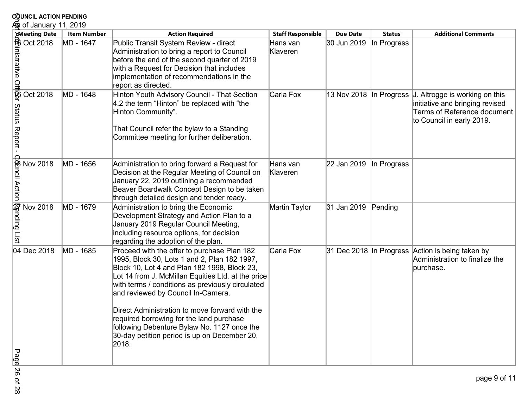| <b>COUNCIL ACTION PENDING</b>                                                                                                                                            |                    |                                                                                                                                                                                                                                                                                                                                                                                                                                                                                                   |                          |                         |               |                                                                                                                               |
|--------------------------------------------------------------------------------------------------------------------------------------------------------------------------|--------------------|---------------------------------------------------------------------------------------------------------------------------------------------------------------------------------------------------------------------------------------------------------------------------------------------------------------------------------------------------------------------------------------------------------------------------------------------------------------------------------------------------|--------------------------|-------------------------|---------------|-------------------------------------------------------------------------------------------------------------------------------|
| க் of January 11, 2019                                                                                                                                                   |                    |                                                                                                                                                                                                                                                                                                                                                                                                                                                                                                   |                          |                         |               |                                                                                                                               |
| <b>Meeting Date</b>                                                                                                                                                      | <b>Item Number</b> | <b>Action Required</b>                                                                                                                                                                                                                                                                                                                                                                                                                                                                            | <b>Staff Responsible</b> | <b>Due Date</b>         | <b>Status</b> | <b>Additional Comments</b>                                                                                                    |
| <b>Expeding Date</b><br><b>Expeding Oct 2018</b><br><b>Expeding Data</b><br><b>Expeding Data</b><br><b>Expeding Data</b><br><b>Expeding Data</b><br><b>Expeding Data</b> | MD - 1647          | Public Transit System Review - direct<br>Administration to bring a report to Council<br>before the end of the second quarter of 2019<br>with a Request for Decision that includes<br>implementation of recommendations in the<br>report as directed.                                                                                                                                                                                                                                              | Hans van<br>Klaveren     | 30 Jun 2019             | In Progress   |                                                                                                                               |
| Status Report -                                                                                                                                                          | MD - 1648          | Hinton Youth Advisory Council - That Section<br>4.2 the term "Hinton" be replaced with "the<br>Hinton Community".<br>That Council refer the bylaw to a Standing<br>Committee meeting for further deliberation.                                                                                                                                                                                                                                                                                    | Carla Fox                | 13 Nov 2018 In Progress |               | J. Altrogge is working on this<br>initiative and bringing revised<br>Terms of Reference document<br>to Council in early 2019. |
| <b>Cancil Action</b><br>Nov 2018                                                                                                                                         | MD - 1656          | Administration to bring forward a Request for<br>Decision at the Regular Meeting of Council on<br>January 22, 2019 outlining a recommended<br>Beaver Boardwalk Concept Design to be taken<br>through detailed design and tender ready.                                                                                                                                                                                                                                                            | Hans van<br>Klaveren     | 22 Jan 2019             | In Progress   |                                                                                                                               |
| <b>Rending List</b><br>Nov 2018                                                                                                                                          | MD - 1679          | Administration to bring the Economic<br>Development Strategy and Action Plan to a<br>January 2019 Regular Council Meeting,<br>including resource options, for decision<br>regarding the adoption of the plan.                                                                                                                                                                                                                                                                                     | Martin Taylor            | 31 Jan 2019             | Pending       |                                                                                                                               |
| 04 Dec 2018                                                                                                                                                              | MD - 1685          | Proceed with the offer to purchase Plan 182<br>1995, Block 30, Lots 1 and 2, Plan 182 1997,<br>Block 10, Lot 4 and Plan 182 1998, Block 23,<br>Lot 14 from J. McMillan Equities Ltd. at the price<br>with terms / conditions as previously circulated<br>and reviewed by Council In-Camera.<br>Direct Administration to move forward with the<br>required borrowing for the land purchase<br>following Debenture Bylaw No. 1127 once the<br>30-day petition period is up on December 20,<br>2018. | Carla Fox                |                         |               | 31 Dec 2018 In Progress Action is being taken by<br>Administration to finalize the<br>purchase.                               |
| Page                                                                                                                                                                     |                    |                                                                                                                                                                                                                                                                                                                                                                                                                                                                                                   |                          |                         |               |                                                                                                                               |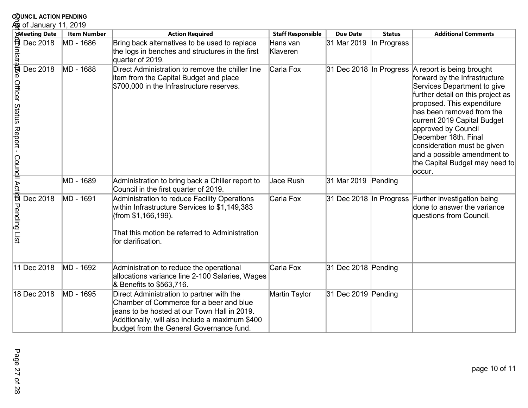| <b>COUNCIL ACTION PENDING</b>                                  |                    |                                                                                                                                                                                                                                     |                          |                         |               |                                                                                                                                                                                                                                                                                                                                                                                                           |
|----------------------------------------------------------------|--------------------|-------------------------------------------------------------------------------------------------------------------------------------------------------------------------------------------------------------------------------------|--------------------------|-------------------------|---------------|-----------------------------------------------------------------------------------------------------------------------------------------------------------------------------------------------------------------------------------------------------------------------------------------------------------------------------------------------------------------------------------------------------------|
| க் of January 11, 2019<br><b>Meeting Date</b>                  | <b>Item Number</b> | <b>Action Required</b>                                                                                                                                                                                                              | <b>Staff Responsible</b> | <b>Due Date</b>         | <b>Status</b> | <b>Additional Comments</b>                                                                                                                                                                                                                                                                                                                                                                                |
| 位inistrative<br>Dec 2018                                       | MD - 1686          | Bring back alternatives to be used to replace<br>the logs in benches and structures in the first<br>quarter of 2019.                                                                                                                | Hans van<br>Klaveren     | 31 Mar 2019             | In Progress   |                                                                                                                                                                                                                                                                                                                                                                                                           |
| Dec 2018<br>Officer Status Report - Coundil Actio Pending List | MD - 1688          | Direct Administration to remove the chiller line<br>item from the Capital Budget and place<br>\$700,000 in the Infrastructure reserves.                                                                                             | Carla Fox                |                         |               | 31 Dec 2018 In Progress A report is being brought<br>forward by the Infrastructure<br>Services Department to give<br>further detail on this project as<br>proposed. This expenditure<br>has been removed from the<br>current 2019 Capital Budget<br>approved by Council<br>December 18th. Final<br>consideration must be given<br>and a possible amendment to<br>the Capital Budget may need to<br>occur. |
|                                                                | MD - 1689          | Administration to bring back a Chiller report to<br>Council in the first quarter of 2019.                                                                                                                                           | Jace Rush                | 31 Mar 2019 Pending     |               |                                                                                                                                                                                                                                                                                                                                                                                                           |
| Dec 2018                                                       | MD - 1691          | Administration to reduce Facility Operations<br>within Infrastructure Services to \$1,149,383<br>(from \$1,166,199).<br>That this motion be referred to Administration<br>for clarification.                                        | Carla Fox                | 31 Dec 2018 In Progress |               | Further investigation being<br>done to answer the variance<br>questions from Council.                                                                                                                                                                                                                                                                                                                     |
| 11 Dec 2018                                                    | MD - 1692          | Administration to reduce the operational<br>allocations variance line 2-100 Salaries, Wages<br>& Benefits to \$563,716.                                                                                                             | Carla Fox                | 31 Dec 2018 Pending     |               |                                                                                                                                                                                                                                                                                                                                                                                                           |
| 18 Dec 2018                                                    | MD - 1695          | Direct Administration to partner with the<br>Chamber of Commerce for a beer and blue<br>jeans to be hosted at our Town Hall in 2019.<br>Additionally, will also include a maximum \$400<br>budget from the General Governance fund. | Martin Taylor            | 31 Dec 2019 Pending     |               |                                                                                                                                                                                                                                                                                                                                                                                                           |